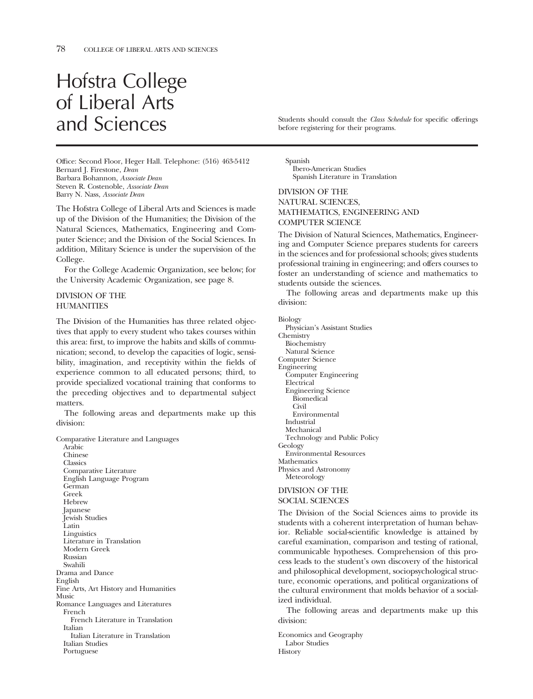# Hofstra College of Liberal Arts

Office: Second Floor, Heger Hall. Telephone: (516) 463-5412 Bernard J. Firestone, *Dean*  Barbara Bohannon, *Associate Dean*  Steven R. Costenoble, *Associate Dean*  Barry N. Nass, *Associate Dean* 

The Hofstra College of Liberal Arts and Sciences is made up of the Division of the Humanities; the Division of the Natural Sciences, Mathematics, Engineering and Computer Science; and the Division of the Social Sciences. In addition, Military Science is under the supervision of the College.

For the College Academic Organization, see below; for the University Academic Organization, see page 8.

#### DIVISION OF THE **HUMANITIES**

The Division of the Humanities has three related objectives that apply to every student who takes courses within this area: frst, to improve the habits and skills of communication; second, to develop the capacities of logic, sensibility, imagination, and receptivity within the felds of experience common to all educated persons; third, to provide specialized vocational training that conforms to the preceding objectives and to departmental subject matters.

The following areas and departments make up this division:

Comparative Literature and Languages

Arabic Chinese **Classics** Comparative Literature English Language Program German Greek Hebrew Japanese Jewish Studies Latin **Linguistics** Literature in Translation Modern Greek Russian Swahili Drama and Dance English Fine Arts, Art History and Humanities Music Romance Languages and Literatures French French Literature in Translation Italian Italian Literature in Translation Italian Studies Portuguese

and Sciences should consult the *Class Schedule* for specific offerings before registering for their programs.

Spanish Ibero-American Studies Spanish Literature in Translation

DIVISION OF THE NATURAL SCIENCES, MATHEMATICS, ENGINEERING AND COMPUTER SCIENCE

The Division of Natural Sciences, Mathematics, Engineering and Computer Science prepares students for careers in the sciences and for professional schools; gives students professional training in engineering; and offers courses to foster an understanding of science and mathematics to students outside the sciences.

The following areas and departments make up this division:

Biology

Physician's Assistant Studies Chemistry Biochemistry Natural Science Computer Science Engineering Computer Engineering Electrical Engineering Science Biomedical **Civil** Environmental Industrial Mechanical Technology and Public Policy Geology Environmental Resources **Mathematics** Physics and Astronomy **Meteorology** 

#### DIVISION OF THE SOCIAL SCIENCES

The Division of the Social Sciences aims to provide its students with a coherent interpretation of human behavior. Reliable social-scientifc knowledge is attained by careful examination, comparison and testing of rational, communicable hypotheses. Comprehension of this process leads to the student's own discovery of the historical and philosophical development, sociopsychological structure, economic operations, and political organizations of the cultural environment that molds behavior of a socialized individual.

The following areas and departments make up this division:

Economics and Geography Labor Studies **History**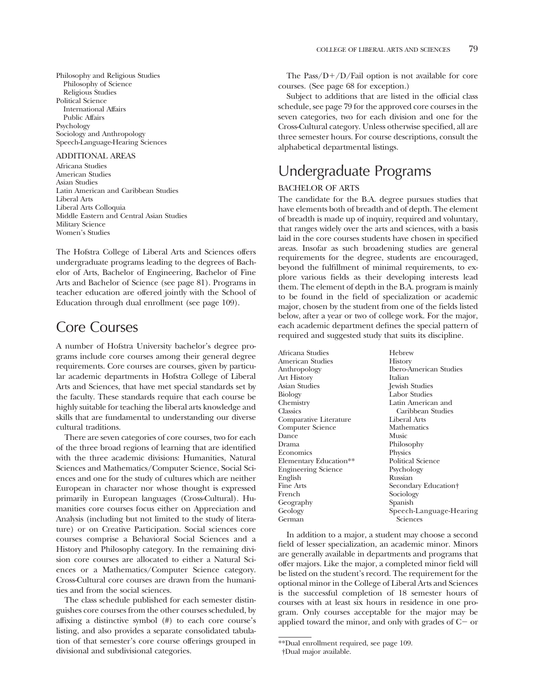Philosophy and Religious Studies Philosophy of Science Religious Studies Political Science International Affairs Public Affairs Psychology Sociology and Anthropology Speech-Language-Hearing Sciences

#### ADDITIONAL AREAS

Africana Studies American Studies Asian Studies Latin American and Caribbean Studies Liberal Arts Liberal Arts Colloquia Middle Eastern and Central Asian Studies Military Science Women's Studies

The Hofstra College of Liberal Arts and Sciences offers undergraduate programs leading to the degrees of Bachelor of Arts, Bachelor of Engineering, Bachelor of Fine Arts and Bachelor of Science (see page 81). Programs in teacher education are offered jointly with the School of Education through dual enrollment (see page 109).

### Core Courses

A number of Hofstra University bachelor's degree programs include core courses among their general degree requirements. Core courses are courses, given by particular academic departments in Hofstra College of Liberal Arts and Sciences, that have met special standards set by the faculty. These standards require that each course be highly suitable for teaching the liberal arts knowledge and skills that are fundamental to understanding our diverse cultural traditions.

There are seven categories of core courses, two for each of the three broad regions of learning that are identifed with the three academic divisions: Humanities, Natural Sciences and Mathematics/Computer Science, Social Sciences and one for the study of cultures which are neither European in character nor whose thought is expressed primarily in European languages (Cross-Cultural). Humanities core courses focus either on Appreciation and Analysis (including but not limited to the study of literature) or on Creative Participation. Social sciences core courses comprise a Behavioral Social Sciences and a History and Philosophy category. In the remaining division core courses are allocated to either a Natural Sciences or a Mathematics/Computer Science category. Cross-Cultural core courses are drawn from the humanities and from the social sciences.

The class schedule published for each semester distinguishes core courses from the other courses scheduled, by affxing a distinctive symbol (#) to each core course's listing, and also provides a separate consolidated tabulation of that semester's core course offerings grouped in divisional and subdivisional categories.

The Pass/ $D+/D$ /Fail option is not available for core courses. (See page 68 for exception.)

Subject to additions that are listed in the official class schedule, see page 79 for the approved core courses in the seven categories, two for each division and one for the Cross-Cultural category. Unless otherwise specifed, all are three semester hours. For course descriptions, consult the alphabetical departmental listings.

## Undergraduate Programs

#### BACHELOR OF ARTS

The candidate for the B.A. degree pursues studies that have elements both of breadth and of depth. The element of breadth is made up of inquiry, required and voluntary, that ranges widely over the arts and sciences, with a basis laid in the core courses students have chosen in specifed areas. Insofar as such broadening studies are general requirements for the degree, students are encouraged, beyond the fulfllment of minimal requirements, to explore various felds as their developing interests lead them. The element of depth in the B.A. program is mainly to be found in the feld of specialization or academic major, chosen by the student from one of the felds listed below, after a year or two of college work. For the major, each academic department defnes the special pattern of required and suggested study that suits its discipline.

Africana Studies Hebrew American Studies<br>Anthropology Ibero-American Studies<br>Italian Art History<br>Asian Studies Asian Studies Jewish Studies Biology Labor Studies Chemistry Latin American and Classics Caribbean Studies Caribbean Studies<br>Liberal Arts Comparative Literature Liberal Arts Computer Science Mathematics Dance Music Drama Philosophy Economics Physics<br>
Elementary Education<sup>\*\*</sup> Political Science Elementary Education\*\* Political Sc<br>
Engineering Science Psychology Engineering Science English Russian Secondary Education† French Sociology<br>Geography Spanish Spanish Geography<br>Geology Speech-Language-Hearing German Sciences

In addition to a major, a student may choose a second feld of lesser specialization, an academic minor. Minors are generally available in departments and programs that offer majors. Like the major, a completed minor feld will be listed on the student's record. The requirement for the optional minor in the College of Liberal Arts and Sciences is the successful completion of 18 semester hours of courses with at least six hours in residence in one program. Only courses acceptable for the major may be applied toward the minor, and only with grades of  $C-$  or

<sup>\*\*</sup>Dual enrollment required, see page 109.

<sup>†</sup>Dual major available.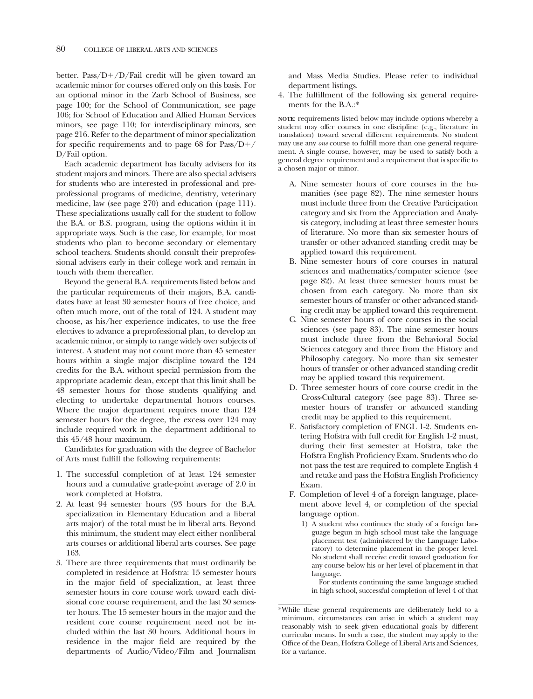better. Pass/ $D+/D$ /Fail credit will be given toward an academic minor for courses offered only on this basis. For an optional minor in the Zarb School of Business, see page 100; for the School of Communication, see page 106; for School of Education and Allied Human Services minors, see page 110; for interdisciplinary minors, see page 216. Refer to the department of minor specialization for specific requirements and to page 68 for  $Pass/D+/-$ D/Fail option.

Each academic department has faculty advisers for its student majors and minors. There are also special advisers for students who are interested in professional and preprofessional programs of medicine, dentistry, veterinary medicine, law (see page 270) and education (page 111). These specializations usually call for the student to follow the B.A. or B.S. program, using the options within it in appropriate ways. Such is the case, for example, for most students who plan to become secondary or elementary school teachers. Students should consult their preprofessional advisers early in their college work and remain in touch with them thereafter.

Beyond the general B.A. requirements listed below and the particular requirements of their majors, B.A. candidates have at least 30 semester hours of free choice, and often much more, out of the total of 124. A student may choose, as his/her experience indicates, to use the free electives to advance a preprofessional plan, to develop an academic minor, or simply to range widely over subjects of interest. A student may not count more than 45 semester hours within a single major discipline toward the 124 credits for the B.A. without special permission from the appropriate academic dean, except that this limit shall be 48 semester hours for those students qualifying and electing to undertake departmental honors courses. Where the major department requires more than 124 semester hours for the degree, the excess over 124 may include required work in the department additional to this 45/48 hour maximum.

Candidates for graduation with the degree of Bachelor of Arts must fulfll the following requirements:

- 1. The successful completion of at least 124 semester hours and a cumulative grade-point average of 2.0 in work completed at Hofstra.
- 2. At least 94 semester hours (93 hours for the B.A. specialization in Elementary Education and a liberal arts major) of the total must be in liberal arts. Beyond this minimum, the student may elect either nonliberal arts courses or additional liberal arts courses. See page 163.
- 3. There are three requirements that must ordinarily be completed in residence at Hofstra: 15 semester hours in the major feld of specialization, at least three semester hours in core course work toward each divisional core course requirement, and the last 30 semester hours. The 15 semester hours in the major and the resident core course requirement need not be included within the last 30 hours. Additional hours in residence in the major feld are required by the departments of Audio/Video/Film and Journalism

and Mass Media Studies. Please refer to individual department listings.

4. The fulfllment of the following six general requirements for the B.A.:\*

**NOTE**: requirements listed below may include options whereby a student may offer courses in one discipline (e.g., literature in translation) toward several different requirements. No student may use any *one* course to fulfll more than one general requirement. A single course, however, may be used to satisfy both a general degree requirement and a requirement that is specifc to a chosen major or minor.

- A. Nine semester hours of core courses in the humanities (see page 82). The nine semester hours must include three from the Creative Participation category and six from the Appreciation and Analysis category, including at least three semester hours of literature. No more than six semester hours of transfer or other advanced standing credit may be applied toward this requirement.
- B. Nine semester hours of core courses in natural sciences and mathematics/computer science (see page 82). At least three semester hours must be chosen from each category. No more than six semester hours of transfer or other advanced standing credit may be applied toward this requirement.
- C. Nine semester hours of core courses in the social sciences (see page 83). The nine semester hours must include three from the Behavioral Social Sciences category and three from the History and Philosophy category. No more than six semester hours of transfer or other advanced standing credit may be applied toward this requirement.
- D. Three semester hours of core course credit in the Cross-Cultural category (see page 83). Three semester hours of transfer or advanced standing credit may be applied to this requirement.
- E. Satisfactory completion of ENGL 1-2. Students entering Hofstra with full credit for English 1-2 must, during their frst semester at Hofstra, take the Hofstra English Profciency Exam. Students who do not pass the test are required to complete English 4 and retake and pass the Hofstra English Profciency Exam.
- F. Completion of level 4 of a foreign language, placement above level 4, or completion of the special language option.
	- 1) A student who continues the study of a foreign language begun in high school must take the language placement test (administered by the Language Laboratory) to determine placement in the proper level. No student shall receive credit toward graduation for any course below his or her level of placement in that language.

For students continuing the same language studied in high school, successful completion of level 4 of that

<sup>\*</sup>While these general requirements are deliberately held to a minimum, circumstances can arise in which a student may reasonably wish to seek given educational goals by different curricular means. In such a case, the student may apply to the Office of the Dean, Hofstra College of Liberal Arts and Sciences, for a variance.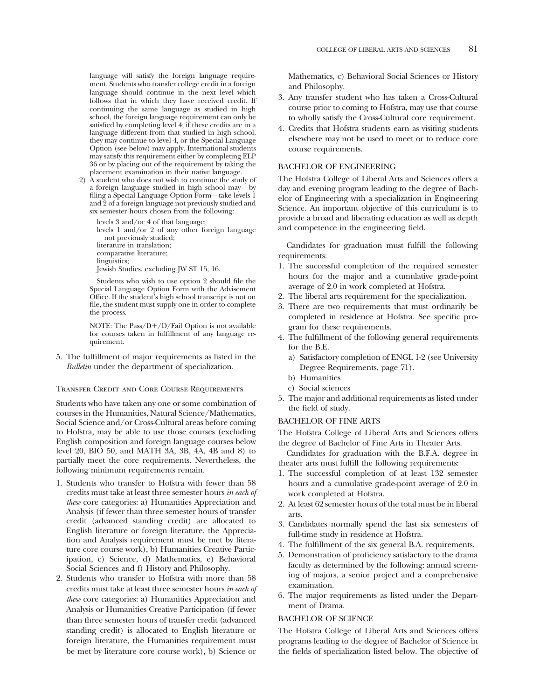language will satisfy the foreign language requirement. Students who transfer college credit in a foreign language should continue in the next level which follows that in which they have received credit. If continuing the same language as studied in high school, the foreign language requirement can only be satisfed by completing level 4; if these credits are in a language different from that studied in high school, they may continue to level 4, or the Special Language Option (see below) may apply. International students may satisfy this requirement either by completing ELP 36 or by placing out of the requirement by taking the placement examination in their native language.

2) A student who does not wish to continue the study of a foreign language studied in high school may—by filing a Special Language Option Form—take levels 1 and 2 of a foreign language not previously studied and six semester hours chosen from the following:

levels 3 and/or 4 of that language; levels 1 and/or 2 of any other foreign language not previously studied; literature in translation; comparative literature; linguistics: Jewish Studies, excluding JW ST 15, 16.

Students who wish to use option 2 should fle the Special Language Option Form with the Advisement Office. If the student's high school transcript is not on fle, the student must supply one in order to complete the process.

NOTE: The Pass/ $D+/D$ /Fail Option is not available for courses taken in fulfllment of any language requirement.

5. The fulfllment of major requirements as listed in the *Bulletin* under the department of specialization.

#### Transfer Credit and Core Course Requirements

Students who have taken any one or some combination of courses in the Humanities, Natural Science/Mathematics, Social Science and/or Cross-Cultural areas before coming to Hofstra, may be able to use those courses (excluding English composition and foreign language courses below level 20, BIO 50, and MATH 3A, 3B, 4A, 4B and 8) to partially meet the core requirements. Nevertheless, the following minimum requirements remain.

- 1. Students who transfer to Hofstra with fewer than 58 credits must take at least three semester hours *in each of these* core categories: a) Humanities Appreciation and Analysis (if fewer than three semester hours of transfer credit (advanced standing credit) are allocated to English literature or foreign literature, the Appreciation and Analysis requirement must be met by literature core course work), b) Humanities Creative Participation, c) Science, d) Mathematics, e) Behavioral Social Sciences and f) History and Philosophy.
- 2. Students who transfer to Hofstra with more than 58 credits must take at least three semester hours *in each of these* core categories: a) Humanities Appreciation and Analysis or Humanities Creative Participation (if fewer than three semester hours of transfer credit (advanced standing credit) is allocated to English literature or foreign literature, the Humanities requirement must be met by literature core course work), b) Science or

Mathematics, c) Behavioral Social Sciences or History and Philosophy.

- 3. Any transfer student who has taken a Cross-Cultural course prior to coming to Hofstra, may use that course to wholly satisfy the Cross-Cultural core requirement.
- 4. Credits that Hofstra students earn as visiting students elsewhere may not be used to meet or to reduce core course requirements.

#### BACHELOR OF ENGINEERING

The Hofstra College of Liberal Arts and Sciences offers a day and evening program leading to the degree of Bachelor of Engineering with a specialization in Engineering Science. An important objective of this curriculum is to provide a broad and liberating education as well as depth and competence in the engineering feld.

Candidates for graduation must fulfll the following requirements:

- 1. The successful completion of the required semester hours for the major and a cumulative grade-point average of 2.0 in work completed at Hofstra.
- 2. The liberal arts requirement for the specialization.
- 3. There are two requirements that must ordinarily be completed in residence at Hofstra. See specifc program for these requirements.
- 4. The fulfllment of the following general requirements for the B.E.
	- a) Satisfactory completion of ENGL 1-2 (see University Degree Requirements, page 71).
	- b) Humanities
	- c) Social sciences
- 5. The major and additional requirements as listed under the feld of study.

#### BACHELOR OF FINE ARTS

The Hofstra College of Liberal Arts and Sciences offers the degree of Bachelor of Fine Arts in Theater Arts.

Candidates for graduation with the B.F.A. degree in theater arts must fulfll the following requirements:

- 1. The successful completion of at least 132 semester hours and a cumulative grade-point average of 2.0 in work completed at Hofstra.
- 2. At least 62 semester hours of the total must be in liberal arts.
- 3. Candidates normally spend the last six semesters of full-time study in residence at Hofstra.
- 4. The fulfllment of the six general B.A. requirements.
- 5. Demonstration of profciency satisfactory to the drama faculty as determined by the following: annual screening of majors, a senior project and a comprehensive examination.
- 6. The major requirements as listed under the Department of Drama.

#### BACHELOR OF SCIENCE

The Hofstra College of Liberal Arts and Sciences offers programs leading to the degree of Bachelor of Science in the felds of specialization listed below. The objective of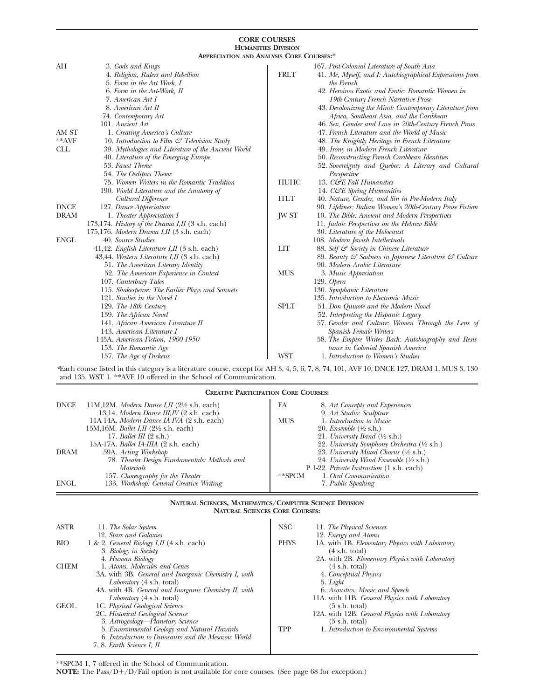#### **CORE COURSES HUMANITIES DIVISION**

| <b>APPRECIATION AND ANALYSIS CORE COURSES:*</b> |                                                                                                                                                                                                                                                                                                        |                            |                                                                                                                                                                                                                                                                                                                                                                                                                                                                                      |  |  |  |
|-------------------------------------------------|--------------------------------------------------------------------------------------------------------------------------------------------------------------------------------------------------------------------------------------------------------------------------------------------------------|----------------------------|--------------------------------------------------------------------------------------------------------------------------------------------------------------------------------------------------------------------------------------------------------------------------------------------------------------------------------------------------------------------------------------------------------------------------------------------------------------------------------------|--|--|--|
| AH<br>AM ST<br>**AVF                            | 3. Gods and Kings<br>4. Religion, Rulers and Rebellion<br>5. Form in the Art Work, I<br>6. Form in the Art-Work, II<br>7. American Art I<br>8. American Art II<br>74. Contemporary Art<br>101. Ancient Art<br>1. Creating America's Culture<br>10. Introduction to Film $\mathcal{C}$ Television Study | <b>FRLT</b>                | 167. Post-Colonial Literature of South Asia<br>41. Me, Myself, and I: Autobiographical Expressions from<br>the French<br>42. Heroines Exotic and Erotic: Romantic Women in<br>19th-Century French Narrative Prose<br>43. Decolonizing the Mind: Contemporary Literature from<br>Africa, Southeast Asia, and the Caribbean<br>46. Sex, Gender and Love in 20th-Century French Prose<br>47. French Literature and the World of Music<br>48. The Knightly Heritage in French Literature |  |  |  |
| <b>CLL</b>                                      | 39. Mythologies and Literature of the Ancient World<br>40. Literature of the Emerging Europe<br>53. Faust Theme<br>54. The Oedipus Theme<br>75. Women Writers in the Romantic Tradition<br>190. World Literature and the Anatomy of<br>Cultural Difference                                             | <b>HUHC</b><br><b>ITLT</b> | 49. Irony in Modern French Literature<br>50. Reconstructing French Caribbean Identities<br>52. Sovereignty and Quebec: A Literary and Cultural<br>Perspective<br>13. C&E Fall Humanities<br>14. C&E Spring Humanities<br>40. Nature, Gender, and Sin in Pre-Modern Italy                                                                                                                                                                                                             |  |  |  |
| <b>DNCE</b><br><b>DRAM</b>                      | 127. Dance Appreciation<br>1. Theater Appreciation I<br>173,174. History of the Drama I,II (3 s.h. each)<br>175,176. Modern Drama I, II $(3 \text{ s.h. each})$                                                                                                                                        | <b>JW ST</b>               | 90. Lifelines: Italian Women's 20th-Century Prose Fiction<br>10. The Bible: Ancient and Modern Perspectives<br>11. Judaic Perspectives on the Hebrew Bible<br>30. Literature of the Holocaust                                                                                                                                                                                                                                                                                        |  |  |  |
| <b>ENGL</b>                                     | 40. Source Studies<br>41,42. English Literature I, II $(3 \text{ s.h. each})$<br>43,44. Western Literature I, II (3 s.h. each)<br>51. The American Literary Identity<br>52. The American Experience in Context                                                                                         | <b>LIT</b><br><b>MUS</b>   | 108. Modern Jewish Intellectuals<br>88. Self & Society in Chinese Literature<br>89. Beauty $\mathcal G$ Sadness in Japanese Literature $\mathcal G$ Culture<br>90. Modern Arabic Literature<br>3. Music Appreciation                                                                                                                                                                                                                                                                 |  |  |  |
|                                                 | 107. Canterbury Tales<br>115. Shakespeare: The Earlier Plays and Sonnets<br>121. Studies in the Novel I<br>129. The 18th Century                                                                                                                                                                       | <b>SPLT</b>                | $129.$ Opera<br>130. Symphonic Literature<br>135. Introduction to Electronic Music<br>51. Don Quixote and the Modern Novel                                                                                                                                                                                                                                                                                                                                                           |  |  |  |
|                                                 | 139. The African Novel<br>141. African American Literature II<br>143. American Literature I<br>145A. American Fiction, 1900-1950<br>153. The Romantic Age<br>157. The Age of Dickens                                                                                                                   | <b>WST</b>                 | 52. Interpreting the Hispanic Legacy<br>57. Gender and Culture: Women Through the Lens of<br>Spanish Female Writers<br>58. The Empire Writes Back: Autobiography and Resis-<br>tance in Colonial Spanish America<br>1. Introduction to Women's Studies                                                                                                                                                                                                                               |  |  |  |

*\**Each course listed in this category is a literature course, except for AH 3, 4, 5, 6, 7, 8, 74, 101, AVF 10, DNCE 127, DRAM 1, MUS 3, 130 and 135, WST 1. \*\*AVF 10 offered in the School of Communication.

**CREATIVE PARTICIPATION CORE COURSES:** 

| <b>DNCE</b> | 11M,12M. Modern Dance I,II $(2\frac{1}{2}$ s.h. each) | FA<br>8. Art Concepts and Experiences                  |  |
|-------------|-------------------------------------------------------|--------------------------------------------------------|--|
|             | 13.14. Modern Dance III, IV (2 s.h. each)             | 9. Art Studio: Sculpture                               |  |
|             | 11A-14A. Modern Dance IA-IVA (2 s.h. each)            | <b>MUS</b><br>1. Introduction to Music                 |  |
|             | 15M, 16M. Ballet I, II $(2\frac{1}{2}$ s.h. each)     | 20. Ensemble $(\frac{1}{2}$ s.h.)                      |  |
|             | 17. Ballet III $(2 \text{ s.h.})$                     | 21. University Band $(\frac{1}{2}$ s.h.)               |  |
|             | 15A-17A. <i>Ballet IA-IIIA</i> (2 s.h. each)          | 22. University Symphony Orchestra $(\frac{1}{2}$ s.h.) |  |
| <b>DRAM</b> | 59A. Acting Workshop                                  | 23. University Mixed Chorus $(\frac{1}{2}$ s.h.)       |  |
|             | 78. Theater Design Fundamentals: Methods and          | 24. University Wind Ensemble $(\frac{1}{2}$ s.h.)      |  |
|             | <i>Materials</i>                                      | P 1-22. Private Instruction (1 s.h. each)              |  |
|             | 157. Choreography for the Theater                     | $*$ $SPCM$<br>1. Oral Communication                    |  |
| <b>ENGL</b> | 133. Workshop: General Creative Writing               | 7. Public Speaking                                     |  |
|             |                                                       |                                                        |  |

#### **NATURAL SCIENCES, MATHEMATICS/COMPUTER SCIENCE DIVISION NATURAL SCIENCES CORE COURSES:**   $\overline{1}$

| <b>ASTR</b> | 11. The Solar System                                  | <b>NSC</b>  | 11. The Physical Sciences                       |
|-------------|-------------------------------------------------------|-------------|-------------------------------------------------|
|             | 12. Stars and Galaxies                                |             | 12. Energy and Atoms                            |
| <b>BIO</b>  | 1 & 2. General Biology I, II $(4 \text{ s.h. each})$  | <b>PHYS</b> | 1A. with 1B. Elementary Physics with Laboratory |
|             | 3. Biology in Society                                 |             | $(4 \text{ s.h. total})$                        |
|             | 4. Human Biology                                      |             | 2A. with 2B. Elementary Physics with Laboratory |
| <b>CHEM</b> | 1. Atoms, Molecules and Genes                         |             | $(4 \text{ s.h. total})$                        |
|             | 3A. with 3B. General and Inorganic Chemistry I, with  |             | 4. Conceptual Physics                           |
|             | Laboratory (4 s.h. total)                             |             | 5. Light                                        |
|             | 4A. with 4B. General and Inorganic Chemistry II, with |             | 6. Acoustics, Music and Speech                  |
|             | <i>Laboratory</i> (4 s.h. total)                      |             | 11A. with 11B. General Physics with Laboratory  |
| <b>GEOL</b> | 1C. Physical Geological Science                       |             | $(5 \text{ s.h. total})$                        |
|             | 2C. Historical Geological Science                     |             | 12A. with 12B. General Physics with Laboratory  |
|             | 3. Astrogeology—Planetary Science                     |             | $(5 \text{ s.h. total})$                        |
|             | 5. Environmental Geology and Natural Hazards          | TPP         | 1. Introduction to Environmental Systems        |
|             | 6. Introduction to Dinosaurs and the Mesozoic World   |             |                                                 |
|             | 7, 8. Earth Science I, II                             |             |                                                 |

\*\*SPCM 1, 7 offered in the School of Communication.

**NOTE:** The Pass/D+/D/Fail option is not available for core courses. (See page 68 for exception.)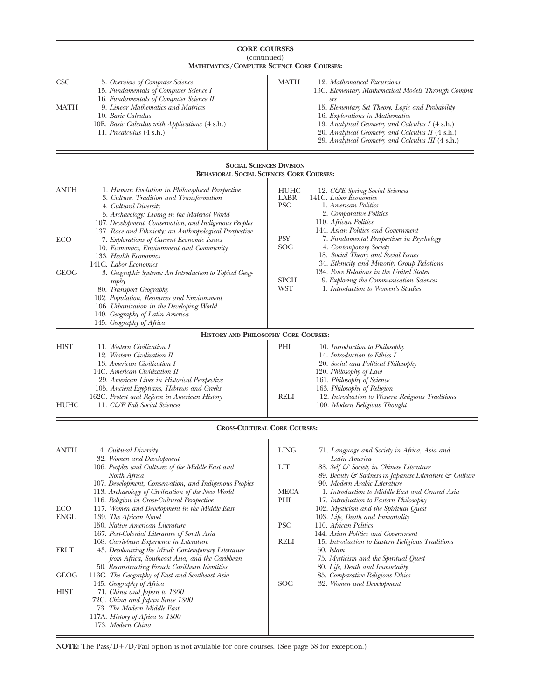| <b>CORE COURSES</b>                                                                |                                                                                                                                                                                                                                                                                                         |                            |                                                                                                                                                                                                                                                                                                                                              |  |  |  |  |
|------------------------------------------------------------------------------------|---------------------------------------------------------------------------------------------------------------------------------------------------------------------------------------------------------------------------------------------------------------------------------------------------------|----------------------------|----------------------------------------------------------------------------------------------------------------------------------------------------------------------------------------------------------------------------------------------------------------------------------------------------------------------------------------------|--|--|--|--|
| (continued)<br><b>MATHEMATICS/COMPUTER SCIENCE CORE COURSES:</b>                   |                                                                                                                                                                                                                                                                                                         |                            |                                                                                                                                                                                                                                                                                                                                              |  |  |  |  |
| CSC<br>MATH                                                                        | 5. Overview of Computer Science<br>15. Fundamentals of Computer Science I<br>16. Fundamentals of Computer Science II<br>9. Linear Mathematics and Matrices<br>10. Basic Calculus<br>10E. Basic Calculus with Applications (4 s.h.)<br>11. <i>Precalculus</i> (4 s.h.)                                   | MATH                       | 12. Mathematical Excursions<br>13C. Elementary Mathematical Models Through Comput-<br>ers<br>15. Elementary Set Theory, Logic and Probability<br>16. Explorations in Mathematics<br>19. Analytical Geometry and Calculus I (4 s.h.)<br>20. Analytical Geometry and Calculus II (4 s.h.)<br>29. Analytical Geometry and Calculus III (4 s.h.) |  |  |  |  |
| <b>SOCIAL SCIENCES DIVISION</b><br><b>BEHAVIORAL SOCIAL SCIENCES CORE COURSES:</b> |                                                                                                                                                                                                                                                                                                         |                            |                                                                                                                                                                                                                                                                                                                                              |  |  |  |  |
| ANTH                                                                               | 1. Human Evolution in Philosophical Perspective<br>3. Culture, Tradition and Transformation<br>4. Cultural Diversity<br>5. Archaeology: Living in the Material World<br>107. Development, Conservation, and Indigenous Peoples                                                                          | HUHC<br>LABR<br><b>PSC</b> | 12. C&E Spring Social Sciences<br>141C. Labor Economics<br>1. American Politics<br>2. Comparative Politics<br>110. African Politics                                                                                                                                                                                                          |  |  |  |  |
| ECO                                                                                | 137. Race and Ethnicity: an Anthropological Perspective<br>7. Explorations of Current Economic Issues<br>10. Economics, Environment and Community<br>133. Health Economics<br>141C. Labor Economics                                                                                                     | PSY<br>SOC                 | 144. Asian Politics and Government<br>7. Fundamental Perspectives in Psychology<br>4. Contemporary Society<br>18. Social Theory and Social Issues<br>34. Ethnicity and Minority Group Relations                                                                                                                                              |  |  |  |  |
| GEOG                                                                               | 3. Geographic Systems: An Introduction to Topical Geog-<br>raphy<br>80. Transport Geography<br>102. Population, Resources and Environment<br>106. Urbanization in the Developing World<br>140. Geography of Latin America<br>145. Geography of Africa                                                   | <b>SPCH</b><br>WST         | 134. Race Relations in the United States<br>9. Exploring the Communication Sciences<br>1. Introduction to Women's Studies                                                                                                                                                                                                                    |  |  |  |  |
|                                                                                    | HISTORY AND PHILOSOPHY CORE COURSES:                                                                                                                                                                                                                                                                    |                            |                                                                                                                                                                                                                                                                                                                                              |  |  |  |  |
| HIST<br>HUHC                                                                       | 11. Western Civilization I<br>12. Western Civilization II<br>13. American Civilization I<br>14C. American Civilization II<br>29. American Lives in Historical Perspective<br>105. Ancient Egyptians, Hebrews and Greeks<br>162C. Protest and Reform in American History<br>11. C&E Fall Social Sciences | PHI<br><b>RELI</b>         | 10. Introduction to Philosophy<br>14. Introduction to Ethics I<br>20. Social and Political Philosophy<br>120. Philosophy of Law<br>161. Philosophy of Science<br>163. Philosophy of Religion<br>12. Introduction to Western Religious Traditions<br>100. Modern Religious Thought                                                            |  |  |  |  |
|                                                                                    | <b>CROSS-CULTURAL CORE COURSES:</b>                                                                                                                                                                                                                                                                     |                            |                                                                                                                                                                                                                                                                                                                                              |  |  |  |  |
| ANTH                                                                               | 4. Cultural Diversity<br>32. Women and Development<br>106. Peoples and Cultures of the Middle East and<br>North Africa<br>107. Development, Conservation, and Indigenous Peoples<br>113. Archaeology of Civilization of the New World<br>116. Religion in Cross-Cultural Perspective                    | LING<br>LIТ<br>MECA<br>PHI | 71. Language and Society in Africa, Asia and<br>Latin America<br>88. Self & Society in Chinese Literature<br>89. Beauty & Sadness in Japanese Literature & Culture<br>90. Modern Arabic Literature<br>1. Introduction to Middle East and Central Asia<br>17. Introduction to Eastern Philosophy                                              |  |  |  |  |
| ECO<br>ENGL                                                                        | 117. Women and Development in the Middle East<br>139. The African Novel<br>150. Native American Literature<br>167. Post-Colonial Literature of South Asia                                                                                                                                               | <b>PSC</b>                 | 102. Mysticism and the Spiritual Quest<br>103. Life, Death and Immortality<br>110. African Politics<br>144. Asian Politics and Government                                                                                                                                                                                                    |  |  |  |  |
| FRLT                                                                               | 168. Carribbean Experience in Literature<br>43. Decolonizing the Mind: Contemporary Literature<br>from Africa, Southeast Asia, and the Caribbean<br>50. Reconstructing French Caribbean Identities                                                                                                      | RELI                       | 15. Introduction to Eastern Religious Traditions<br>50. Islam<br>75. Mysticism and the Spiritual Quest<br>80. Life, Death and Immortality                                                                                                                                                                                                    |  |  |  |  |
| GEOG                                                                               | 113C. The Geography of East and Southeast Asia                                                                                                                                                                                                                                                          |                            | 85. Comparative Religious Ethics                                                                                                                                                                                                                                                                                                             |  |  |  |  |
| HIST                                                                               | 145. Geography of Africa<br>71. China and Japan to 1800<br>72C. China and Japan Since 1800<br>73. The Modern Middle East<br>117A. <i>History of Africa to 1800</i><br>173. Modern China                                                                                                                 | <b>SOC</b>                 | 32. Women and Development                                                                                                                                                                                                                                                                                                                    |  |  |  |  |

 $\bold{NOTE:}$  The Pass/D+/D/Fail option is not available for core courses. (See page 68 for exception.)

 $=$ 

 $=$